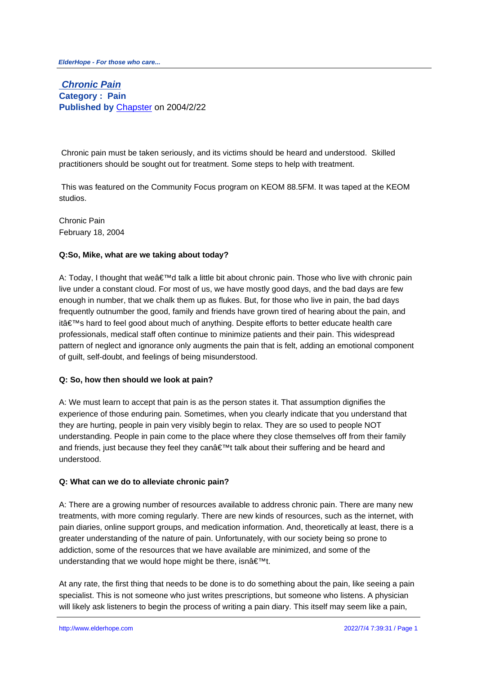**Chronic Pain Category : Pain Published by** Chapster on 2004/2/22

 Chronic pain m[ust be take](http://www.elderhope.com/userinfo.php?uid=1)n seriously, and its victims should be heard and understood. Skilled practitioners should be sought out for treatment. Some steps to help with treatment.

 This was featured on the Community Focus program on KEOM 88.5FM. It was taped at the KEOM studios.

Chronic Pain February 18, 2004

## **Q:So, Mike, what are we taking about today?**

A: Today, I thought that we'd talk a little bit about chronic pain. Those who live with chronic pain live under a constant cloud. For most of us, we have mostly good days, and the bad days are few enough in number, that we chalk them up as flukes. But, for those who live in pain, the bad days frequently outnumber the good, family and friends have grown tired of hearing about the pain, and it's hard to feel good about much of anything. Despite efforts to better educate health care professionals, medical staff often continue to minimize patients and their pain. This widespread pattern of neglect and ignorance only augments the pain that is felt, adding an emotional component of guilt, self-doubt, and feelings of being misunderstood.

### **Q: So, how then should we look at pain?**

A: We must learn to accept that pain is as the person states it. That assumption dignifies the experience of those enduring pain. Sometimes, when you clearly indicate that you understand that they are hurting, people in pain very visibly begin to relax. They are so used to people NOT understanding. People in pain come to the place where they close themselves off from their family and friends, just because they feel they can $\hat{\mathbf{a}} \in \mathbb{M}$  talk about their suffering and be heard and understood.

## **Q: What can we do to alleviate chronic pain?**

A: There are a growing number of resources available to address chronic pain. There are many new treatments, with more coming regularly. There are new kinds of resources, such as the internet, with pain diaries, online support groups, and medication information. And, theoretically at least, there is a greater understanding of the nature of pain. Unfortunately, with our society being so prone to addiction, some of the resources that we have available are minimized, and some of the understanding that we would hope might be there, isn $\hat{a} \in \mathbb{R}^{m}$ t.

At any rate, the first thing that needs to be done is to do something about the pain, like seeing a pain specialist. This is not someone who just writes prescriptions, but someone who listens. A physician will likely ask listeners to begin the process of writing a pain diary. This itself may seem like a pain,